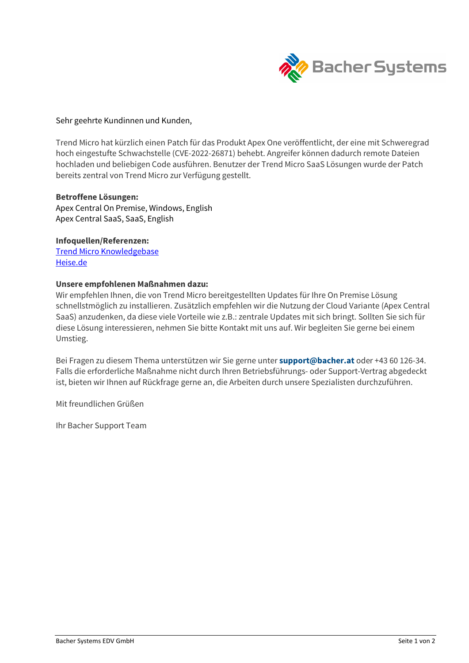

#### Sehr geehrte Kundinnen und Kunden,

Trend Micro hat kürzlich einen Patch für das Produkt Apex One veröffentlicht, der eine mit Schweregrad hoch eingestufte Schwachstelle (CVE-2022-26871) behebt. Angreifer können dadurch remote Dateien hochladen und beliebigen Code ausführen. Benutzer der Trend Micro SaaS Lösungen wurde der Patch bereits zentral von Trend Micro zur Verfügung gestellt.

#### Betroffene Lösungen:

Apex Central On Premise, Windows, English Apex Central SaaS, SaaS, English

## Infoquellen/Referenzen:

Trend Micro Knowledgebase Heise.de

## Unsere empfohlenen Maßnahmen dazu:

Wir empfehlen Ihnen, die von Trend Micro bereitgestellten Updates für Ihre On Premise Lösung schnellstmöglich zu installieren. Zusätzlich empfehlen wir die Nutzung der Cloud Variante (Apex Central SaaS) anzudenken, da diese viele Vorteile wie z.B.: zentrale Updates mit sich bringt. Sollten Sie sich für diese Lösung interessieren, nehmen Sie bitte Kontakt mit uns auf. Wir begleiten Sie gerne bei einem Umstieg.

Bei Fragen zu diesem Thema unterstützen wir Sie gerne unter support@bacher.at oder +43 60 126-34. Falls die erforderliche Maßnahme nicht durch Ihren Betriebsführungs- oder Support-Vertrag abgedeckt ist, bieten wir Ihnen auf Rückfrage gerne an, die Arbeiten durch unsere Spezialisten durchzuführen.

Mit freundlichen Grüßen

Ihr Bacher Support Team